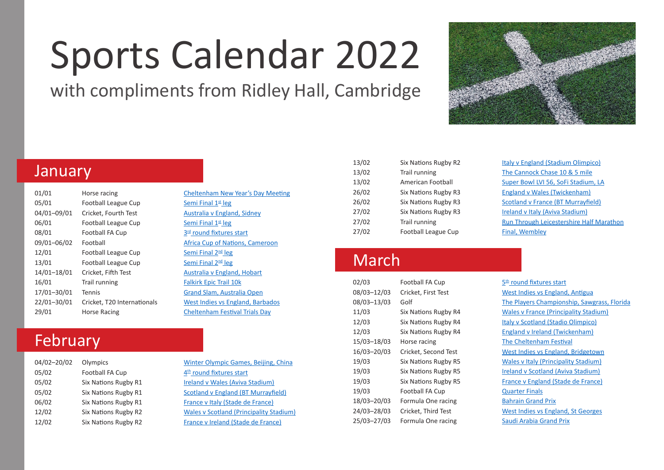# Sports Calendar 2022

with compliments from Ridley Hall, Cambridge



## January

| 01/01       | Horse racing               |
|-------------|----------------------------|
| 05/01       | <b>Football League Cup</b> |
| 04/01-09/01 | Cricket, Fourth Test       |
| 06/01       | <b>Football League Cup</b> |
| 08/01       | Football FA Cup            |
| 09/01-06/02 | Football                   |
| 12/01       | Football League Cup        |
| 13/01       | <b>Football League Cup</b> |
| 14/01-18/01 | Cricket, Fifth Test        |
| 16/01       | Trail running              |
| 17/01-30/01 | Tennis                     |
| 22/01-30/01 | Cricket, T20 Internationa  |
| 29/01       | Horse Racing               |

#### [Cheltenham New Year's Day Meeting](https://www.thejockeyclub.co.uk/cheltenham/events-tickets/new-years-day/) [Semi Final 1st leg](https://www.efl.com/carabao-cup/) [Australia v England, Sidney](https://www.ecb.co.uk/) [Semi Final 1st leg](https://www.efl.com/carabao-cup/) 3<sup>rd</sup> [round fixtures start](https://www.thefa.com/competitions/thefacup) [Africa Cup of Nations, Cameroon](https://www.cafonline.com/total-africa-cup-of-nations/) Semi Final 2<sup>nd</sup> leg Semi Final 2<sup>nd</sup> leg [Australia v England, Hobart](https://www.ecb.co.uk/) [Falkirk Epic Trail 10k](https://www.letsdothis.com/gb/e/falkirk-epic-trail-10k-189735) [Grand Slam, Australia Open](https://ausopen.com/) 22215 als [West Indies vs England, Barbados](https://www.ecb.co.uk/) [Cheltenham Festival Trials Day](https://www.thejockeyclub.co.uk/cheltenham/events-tickets/festival-trials-day/)

# February

| 04/02-20/02 | Olympics             |
|-------------|----------------------|
| 05/02       | Football FA Cup      |
| 05/02       | Six Nations Rugby R1 |
| 05/02       | Six Nations Rugby R1 |
| 06/02       | Six Nations Rugby R1 |
| 12/02       | Six Nations Rugby R2 |
| 12/02       | Six Nations Rugby R2 |

[Winter Olympic Games, Beijing, China](https://olympics.com/en/beijing-2022/) 4<sup>th</sup> [round fixtures start](https://www.thefa.com/competitions/thefacup) [Ireland v Wales \(Aviva Stadium\)](https://www.sixnationsrugby.com/) [Scotland v England \(BT Murrayfield\)](https://www.sixnationsrugby.com/) [France v Italy \(Stade de France\)](https://www.sixnationsrugby.com/) [Wales v Scotland \(Principality Stadium\)](https://www.sixnationsrugby.com/) Erance v Ireland (Stade de France)

| 13/02 | Six Nations Rugby R2       | Italy v England (Stadium Olimpico)  |
|-------|----------------------------|-------------------------------------|
| 13/02 | Trail running              | The Cannock Chase 10 & 5 mile       |
| 13/02 | American Football          | Super Bowl LVI 56, SoFi Stadium, LA |
| 26/02 | Six Nations Rugby R3       | England v Wales (Twickenham)        |
| 26/02 | Six Nations Rugby R3       | Scotland v France (BT Murrayfield)  |
| 27/02 | Six Nations Rugby R3       | Ireland v Italy (Aviva Stadium)     |
| 27/02 | Trail running              | Run Through Leicestershire Half Ma  |
| 27/02 | <b>Football League Cup</b> | Final, Wembley                      |

## March

| 02/03       | <b>Football FA Cup</b> |
|-------------|------------------------|
| 08/03-12/03 | Cricket, First Test    |
| 08/03-13/03 | Golf                   |
| 11/03       | Six Nations Rugby R4   |
| 12/03       | Six Nations Rugby R4   |
| 12/03       | Six Nations Rugby R4   |
| 15/03-18/03 | Horse racing           |
| 16/03-20/03 | Cricket, Second Test   |
| 19/03       | Six Nations Rugby R5   |
| 19/03       | Six Nations Rugby R5   |
| 19/03       | Six Nations Rugby R5   |
| 19/03       | <b>Football FA Cup</b> |
| 18/03-20/03 | Formula One racing     |
| 24/03-28/03 | Cricket, Third Test    |
| 25/03-27/03 | Formula One racing     |

| 13/02 | Six Nations Rugby R2 | <b>Italy v England (Stadium Olimpico)</b> |
|-------|----------------------|-------------------------------------------|
| 13/02 | Trail running        | The Cannock Chase 10 & 5 mile             |
| 13/02 | American Football    | Super Bowl LVI 56, SoFi Stadium, LA       |
| 26/02 | Six Nations Rugby R3 | <b>England v Wales (Twickenham)</b>       |
| 26/02 | Six Nations Rugby R3 | Scotland v France (BT Murrayfield)        |
| 27/02 | Six Nations Rugby R3 | Ireland v Italy (Aviva Stadium)           |
| 27/02 | Trail running        | Run Through Leicestershire Half Marathon  |
| 27/02 | Football League Cup  | Final, Wembley                            |

5<sup>th</sup> [round fixtures start](https://www.thefa.com/competitions/thefacup) [West Indies vs England, Antigua](https://www.ecb.co.uk/) [The Players Championship, Sawgrass, Florida](https://tpc.com/sawgrass/) [Wales v France \(Principality Stadium\)](https://www.sixnationsrugby.com/) [Italy v Scotland \(Stadio Olimpico\)](https://www.sixnationsrugby.com/) [England v Ireland \(Twickenham\)](https://www.sixnationsrugby.com/) [The Cheltenham Festival](https://www.thejockeyclub.co.uk/cheltenham/events-tickets/the-festival/) [West Indies vs England, Bridgetown](https://www.ecb.co.uk/) [Wales v Italy \(Principality Stadium\)](https://www.sixnationsrugby.com/) [Ireland v Scotland \(Aviva Stadium\)](https://www.sixnationsrugby.com/) [France v England \(Stade de France\)](https://www.sixnationsrugby.com/) **Ouarter Finals** [Bahrain Grand Prix](https://www.formula1.com/) [West Indies vs England, St Georges](https://www.ecb.co.uk/) [Saudi Arabia Grand Prix](https://www.formula1.com/)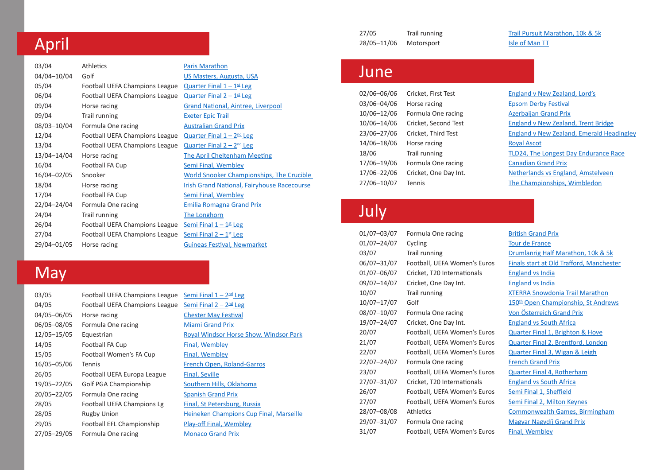# April

| 03/04       | <b>Athletics</b>               | <b>Paris Marathon</b>                                 |
|-------------|--------------------------------|-------------------------------------------------------|
| 04/04-10/04 | Golf                           | US Masters, Augusta, USA                              |
| 05/04       | Football UEFA Champions League | Quarter Final $1 - 1$ <sup>st</sup> Leg               |
| 06/04       | Football UEFA Champions League | Quarter Final $2 - 1$ <sup>st</sup> Leg               |
| 09/04       | Horse racing                   | <b>Grand National, Aintree, Liverpool</b>             |
| 09/04       | Trail running                  | <b>Exeter Epic Trail</b>                              |
| 08/03-10/04 | Formula One racing             | <b>Australian Grand Prix</b>                          |
| 12/04       | Football UEFA Champions League | Quarter Final $1 - 2^{\text{nd}}$ Leg                 |
| 13/04       | Football UEFA Champions League | Quarter Final $2 - 2nd$ Leg                           |
| 13/04-14/04 | Horse racing                   | <b>The April Cheltenham Meeting</b>                   |
| 16/04       | Football FA Cup                | <b>Semi Final, Wembley</b>                            |
| 16/04-02/05 | Snooker                        | World Snooker Championships, The Crucible             |
| 18/04       | Horse racing                   | <b>Irish Grand National, Fairyhouse Racecourse</b>    |
| 17/04       | Football FA Cup                | Semi Final, Wembley                                   |
| 22/04-24/04 | Formula One racing             | <b>Emilia Romagna Grand Prix</b>                      |
| 24/04       | Trail running                  | The Longhorn                                          |
| 26/04       | Football UEFA Champions League | Semi Final $1 - 1$ <sup>st</sup> Leg                  |
| 27/04       | Football UEFA Champions League | <u>Semi Final <math>2 - 1</math><sup>st</sup> Leg</u> |
| 29/04-01/05 | Horse racing                   | <b>Guineas Festival, Newmarket</b>                    |
|             |                                |                                                       |

# **May**

| 03/05       | Football UEFA Champions League |
|-------------|--------------------------------|
| 04/05       | Football UEFA Champions League |
| 04/05-06/05 | Horse racing                   |
| 06/05-08/05 | Formula One racing             |
| 12/05-15/05 | Equestrian                     |
| 14/05       | <b>Football FA Cup</b>         |
| 15/05       | Football Women's FA Cup        |
| 16/05-05/06 | Tennis                         |
| 26/05       | Football UEFA Europa League    |
| 19/05-22/05 | Golf PGA Championship          |
| 20/05-22/05 | Formula One racing             |
| 28/05       | Football UEFA Champions Lg     |
| 28/05       | <b>Rugby Union</b>             |
| 29/05       | Football EFL Championship      |
| 27/05-29/05 | Formula One racing             |

#### $10^{\circ}$  Semi Final  $1 - 2^{\circ}$  Leg  $\theta$  Semi Final  $2 - 2^{\text{nd}}$  Leg **[Chester May Festival](https://www.chester-races.com/)** [Miami Grand Prix](https://www.formula1.com/) [Royal Windsor Horse Show, Windsor Park](https://rwhs.co.uk/) [Final, Wembley](https://www.thefa.com/competitions/thefacup) [Final, Wembley](https://www.thefa.com/competitions/womens/the-womens-fa-cup) **[French Open, Roland-Garros](https://www.rolandgarros.com/en-us/)** [Final, Seville](https://www.uefa.com/uefaeuropaleague/) [Southern Hills, Oklahoma](https://www.pgachampionship.com/tickets?utm_source=google_redtag&utm_medium=cpc_redtag&utm_campaign=2022_PGA_Championship_redtag&utm_content=registration_redtag&gclid=Cj0KCQiAoNWOBhCwARIsAAiHnEi7zDktj99FwATkX851m1TtVLq9-Kh1BDOaD0P7Xm0nCQqxG9wzLIwaArTqEALw_wcB) [Spanish Grand Prix](https://www.formula1.com/) **[Final, St Petersburg, Russia](https://www.uefa.com/uefachampionsleague/)** [Heineken Champions Cup Final, Marseille](https://www.epcrugby.com/) [Play-off Final, Wembley](https://www.efl.com/clubs-and-competitions/sky-bet-championship/) **[Monaco Grand Prix](https://www.formula1.com/)**

28/05-11/06 Motorsport [Isle of Man TT](https://www.iomtt.com/)

27/05 Trail running [Trail Pursuit Marathon, 10k & 5k](https://www.letsdothis.com/gb/e/trail-pursuit-marathon-half-marathon-10k-5k-187872)

#### June

| 02/06-06/06 | Cricket, First Test   | England v New Zealand, Lord's           |
|-------------|-----------------------|-----------------------------------------|
| 03/06-04/06 | Horse racing          | <b>Epsom Derby Festival</b>             |
| 10/06-12/06 | Formula One racing    | <b>Azerbaijan Grand Prix</b>            |
| 10/06-14/06 | Cricket, Second Test  | <b>England v New Zealand, Trent Bri</b> |
| 23/06-27/06 | Cricket, Third Test   | <b>England v New Zealand, Emerald</b>   |
| 14/06-18/06 | Horse racing          | <b>Royal Ascot</b>                      |
| 18/06       | Trail running         | <b>TLD24, The Longest Day Enduran</b>   |
| 17/06-19/06 | Formula One racing    | <b>Canadian Grand Prix</b>              |
| 17/06-22/06 | Cricket, One Day Int. | Netherlands vs England, Amstelv         |
| 27/06-10/07 | Tennis                | The Championships, Wimbledon            |
|             |                       |                                         |

## July

| 01/07-03/07 | Formula One racing           | <b>British Grand Prix</b>                       |
|-------------|------------------------------|-------------------------------------------------|
| 01/07-24/07 | Cycling                      | <b>Tour de France</b>                           |
| 03/07       | Trail running                | Drumlanrig Half Marathon, 10k & 5k              |
| 06/07-31/07 | Football, UEFA Women's Euros | <b>Finals start at Old Trafford, Manchester</b> |
| 01/07-06/07 | Cricket, T20 Internationals  | <b>England vs India</b>                         |
| 09/07-14/07 | Cricket, One Day Int.        | <b>England vs India</b>                         |
| 10/07       | Trail running                | <b>XTERRA Snowdonia Trail Marathon</b>          |
| 10/07-17/07 | Golf                         | 150 <sup>th</sup> Open Championship, St Andrews |
| 08/07-10/07 | Formula One racing           | Von Österreich Grand Prix                       |
| 19/07-24/07 | Cricket, One Day Int.        | <b>England vs South Africa</b>                  |
| 20/07       | Football, UEFA Women's Euros | <b>Quarter Final 1, Brighton &amp; Hove</b>     |
| 21/07       | Football, UEFA Women's Euros | Quarter Final 2, Brentford, London              |
| 22/07       | Football, UEFA Women's Euros | <b>Quarter Final 3, Wigan &amp; Leigh</b>       |
| 22/07-24/07 | Formula One racing           | <b>French Grand Prix</b>                        |
| 23/07       | Football, UEFA Women's Euros | <b>Quarter Final 4, Rotherham</b>               |
| 27/07-31/07 | Cricket, T20 Internationals  | <b>England vs South Africa</b>                  |
| 26/07       | Football, UEFA Women's Euros | Semi Final 1, Sheffield                         |
| 27/07       | Football, UEFA Women's Euros | Semi Final 2, Milton Keynes                     |
| 28/07-08/08 | Athletics                    | <b>Commonwealth Games, Birmingham</b>           |
| 29/07-31/07 | Formula One racing           | <b>Magyar Nagydíj Grand Prix</b>                |
| 31/07       | Football, UEFA Women's Euros | <b>Final, Wembley</b>                           |

[Azerbaijan Grand Prix](https://www.formula1.com/) [England v New Zealand, Trent Bridge](https://www.ecb.co.uk/) [England v New Zealand, Emerald Headingley](https://www.ecb.co.uk/) **[Royal Ascot](file:///E:/MEGAsync/Ridley/Publications/A5%20fliers%20and%20cards/Sports%20Calendar/Royal%20Ascot)** [TLD24, The Longest Day Endurance Race](https://www.letsdothis.com/gb/e/tld24-the-longest-day-endurance-race-190068) **[Canadian Grand Prix](https://www.formula1.com/)** [Netherlands vs England, Amstelveen](https://www.ecb.co.uk/)

| <b>British Grand Prix</b>                       |
|-------------------------------------------------|
| <b>Tour de France</b>                           |
| Drumlanrig Half Marathon, 10k & 5k              |
| Finals start at Old Trafford, Manchester        |
| <b>England vs India</b>                         |
| <b>England vs India</b>                         |
| <b>KTERRA Snowdonia Trail Marathon</b>          |
| 150 <sup>th</sup> Open Championship, St Andrews |
| <b>Jon Österreich Grand Prix</b>                |
| <b>England vs South Africa</b>                  |
| Quarter Final 1, Brighton & Hove                |
| Quarter Final 2, Brentford, London              |
| <b>Quarter Final 3, Wigan &amp; Leigh</b>       |
| <b>French Grand Prix</b>                        |
| <b>Quarter Final 4, Rotherham</b>               |
| <b>England vs South Africa</b>                  |
| <u>Semi Final 1, Sheffield</u>                  |
| Semi Final 2, Milton Keynes                     |
| Commonwealth Games, Birmingham                  |
| <b>Magyar Nagydíj Grand Prix</b>                |
| Final, Wembley                                  |